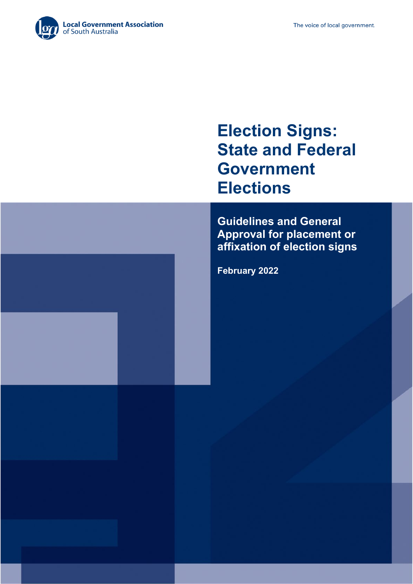

# **Election Signs: State and Federal Government Elections**

**Guidelines and General Approval for placement or affixation of election signs**

**February 2022**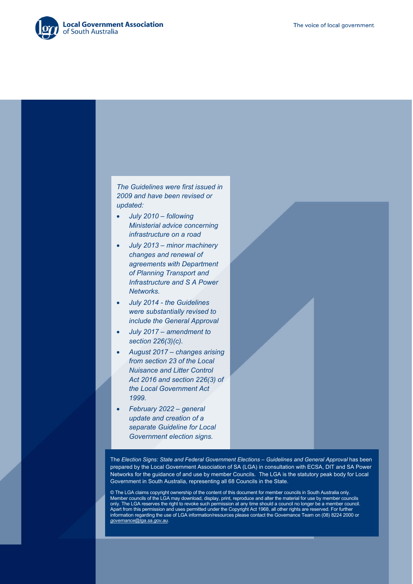

*The Guidelines were first issued in 2009 and have been revised or updated:*

- *July 2010 – following Ministerial advice concerning infrastructure on a road*
- *July 2013 – minor machinery changes and renewal of agreements with Department of Planning Transport and Infrastructure and S A Power Networks.*
- *July 2014 - the Guidelines were substantially revised to include the General Approval*
- *July 2017 – amendment to section 226(3)(c).*
- *August 2017 – changes arising from section 23 of the Local Nuisance and Litter Control Act 2016 and section 226(3) of the Local Government Act 1999.*
- *February 2022 – general update and creation of a separate Guideline for Local Government election signs.*

The *Election Signs: State and Federal Government Elections – Guidelines and General Approval* has been prepared by the Local Government Association of SA (LGA) in consultation with ECSA, DIT and SA Power Networks for the guidance of and use by member Councils. The LGA is the statutory peak body for Local Government in South Australia, representing all 68 Councils in the State.

© The LGA claims copyright ownership of the content of this document for member councils in South Australia only. Member councils of the LGA may download, display, print, reproduce and alter the material for use by member councils only. The LGA reserves the right to revoke such permission at any time should a council no longer be a member council. Apart from this permission and uses permitted under the Copyright Act 1968, all other rights are reserved. For further information regarding the use of LGA information/resources please contact the Governance Team on (08) 8224 2000 or *[governance@lga.sa.gov.au](mailto:governance@lga.sa.gov.au)*.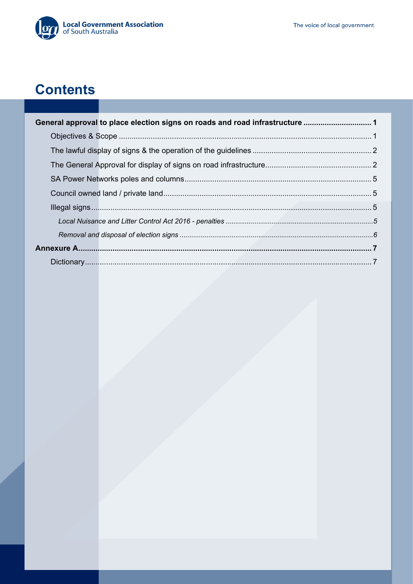

# **Contents**

| General approval to place election signs on roads and road infrastructure 1 |  |
|-----------------------------------------------------------------------------|--|
|                                                                             |  |
|                                                                             |  |
|                                                                             |  |
|                                                                             |  |
|                                                                             |  |
|                                                                             |  |
|                                                                             |  |
|                                                                             |  |
|                                                                             |  |
|                                                                             |  |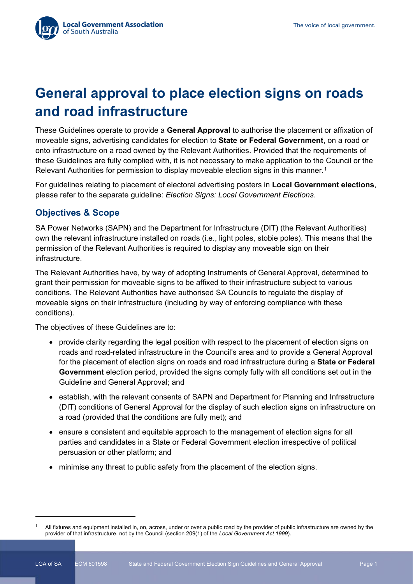## **General approval to place election signs on roads and road infrastructure**

These Guidelines operate to provide a **General Approval** to authorise the placement or affixation of moveable signs, advertising candidates for election to **State or Federal Government**, on a road or onto infrastructure on a road owned by the Relevant Authorities. Provided that the requirements of these Guidelines are fully complied with, it is not necessary to make application to the Council or the Relevant Authorities for permission to display moveable election signs in this manner.<sup>[1](#page-4-0)</sup>

For guidelines relating to placement of electoral advertising posters in **Local Government elections**, please refer to the separate guideline: *Election Signs: Local Government Elections*.

## **Objectives & Scope**

SA Power Networks (SAPN) and the Department for Infrastructure (DIT) (the Relevant Authorities) own the relevant infrastructure installed on roads (i.e., light poles, stobie poles). This means that the permission of the Relevant Authorities is required to display any moveable sign on their infrastructure.

The Relevant Authorities have, by way of adopting Instruments of General Approval, determined to grant their permission for moveable signs to be affixed to their infrastructure subject to various conditions. The Relevant Authorities have authorised SA Councils to regulate the display of moveable signs on their infrastructure (including by way of enforcing compliance with these conditions).

The objectives of these Guidelines are to:

- provide clarity regarding the legal position with respect to the placement of election signs on roads and road-related infrastructure in the Council's area and to provide a General Approval for the placement of election signs on roads and road infrastructure during a **State or Federal Government** election period, provided the signs comply fully with all conditions set out in the Guideline and General Approval; and
- establish, with the relevant consents of SAPN and Department for Planning and Infrastructure (DIT) conditions of General Approval for the display of such election signs on infrastructure on a road (provided that the conditions are fully met); and
- ensure a consistent and equitable approach to the management of election signs for all parties and candidates in a State or Federal Government election irrespective of political persuasion or other platform; and
- minimise any threat to public safety from the placement of the election signs.

<span id="page-4-0"></span>All fixtures and equipment installed in, on, across, under or over a public road by the provider of public infrastructure are owned by the provider of that infrastructure, not by the Council (section 209(1) of the *Local Government Act 1999*).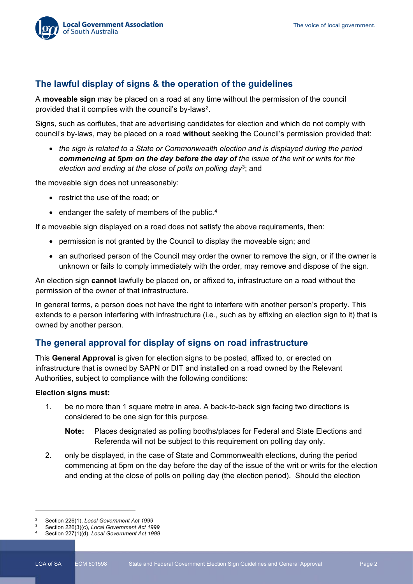### **The lawful display of signs & the operation of the guidelines**

A **moveable sign** may be placed on a road at any time without the permission of the council provided that it complies with the council's by-laws[2.](#page-5-0)

Signs, such as corflutes, that are advertising candidates for election and which do not comply with council's by-laws, may be placed on a road **without** seeking the Council's permission provided that:

• *the sign is related to a State or Commonwealth election and is displayed during the period commencing at 5pm on the day before the day of the issue of the writ or writs for the election and ending at the close of polls on polling day*[3](#page-5-1); and

the moveable sign does not unreasonably:

- restrict the use of the road; or
- endanger the safety of members of the public.<sup>[4](#page-5-2)</sup>

If a moveable sign displayed on a road does not satisfy the above requirements, then:

- permission is not granted by the Council to display the moveable sign; and
- an authorised person of the Council may order the owner to remove the sign, or if the owner is unknown or fails to comply immediately with the order, may remove and dispose of the sign.

An election sign **cannot** lawfully be placed on, or affixed to, infrastructure on a road without the permission of the owner of that infrastructure.

In general terms, a person does not have the right to interfere with another person's property. This extends to a person interfering with infrastructure (i.e., such as by affixing an election sign to it) that is owned by another person.

### **The general approval for display of signs on road infrastructure**

This **General Approval** is given for election signs to be posted, affixed to, or erected on infrastructure that is owned by SAPN or DIT and installed on a road owned by the Relevant Authorities, subject to compliance with the following conditions:

#### **Election signs must:**

- 1. be no more than 1 square metre in area. A back-to-back sign facing two directions is considered to be one sign for this purpose.
	- **Note:** Places designated as polling booths/places for Federal and State Elections and Referenda will not be subject to this requirement on polling day only.
- 2. only be displayed, in the case of State and Commonwealth elections, during the period commencing at 5pm on the day before the day of the issue of the writ or writs for the election and ending at the close of polls on polling day (the election period). Should the election

<span id="page-5-1"></span><span id="page-5-0"></span><sup>2</sup> Section 226(1), *Local Government Act 1999*

<sup>3</sup> Section 226(3)(c), *Local Government Act 1999*

<span id="page-5-2"></span>Section 227(1)(d), *Local Government Act 1999*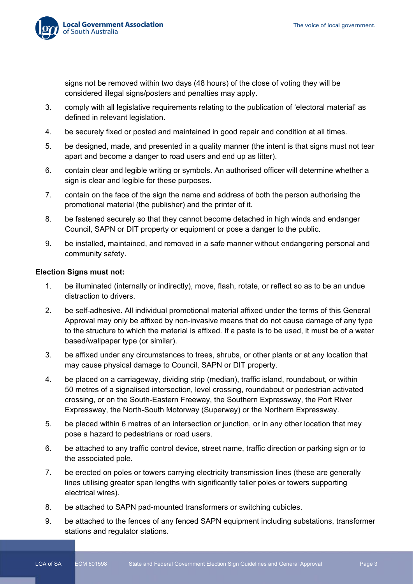

signs not be removed within two days (48 hours) of the close of voting they will be considered illegal signs/posters and penalties may apply.

- 3. comply with all legislative requirements relating to the publication of 'electoral material' as defined in relevant legislation.
- 4. be securely fixed or posted and maintained in good repair and condition at all times.
- 5. be designed, made, and presented in a quality manner (the intent is that signs must not tear apart and become a danger to road users and end up as litter).
- 6. contain clear and legible writing or symbols. An authorised officer will determine whether a sign is clear and legible for these purposes.
- 7. contain on the face of the sign the name and address of both the person authorising the promotional material (the publisher) and the printer of it.
- 8. be fastened securely so that they cannot become detached in high winds and endanger Council, SAPN or DIT property or equipment or pose a danger to the public.
- 9. be installed, maintained, and removed in a safe manner without endangering personal and community safety.

#### **Election Signs must not:**

- 1. be illuminated (internally or indirectly), move, flash, rotate, or reflect so as to be an undue distraction to drivers.
- 2. be self-adhesive. All individual promotional material affixed under the terms of this General Approval may only be affixed by non-invasive means that do not cause damage of any type to the structure to which the material is affixed. If a paste is to be used, it must be of a water based/wallpaper type (or similar).
- 3. be affixed under any circumstances to trees, shrubs, or other plants or at any location that may cause physical damage to Council, SAPN or DIT property.
- 4. be placed on a carriageway, dividing strip (median), traffic island, roundabout, or within 50 metres of a signalised intersection, level crossing, roundabout or pedestrian activated crossing, or on the South-Eastern Freeway, the Southern Expressway, the Port River Expressway, the North-South Motorway (Superway) or the Northern Expressway.
- 5. be placed within 6 metres of an intersection or junction, or in any other location that may pose a hazard to pedestrians or road users.
- 6. be attached to any traffic control device, street name, traffic direction or parking sign or to the associated pole.
- 7. be erected on poles or towers carrying electricity transmission lines (these are generally lines utilising greater span lengths with significantly taller poles or towers supporting electrical wires).
- 8. be attached to SAPN pad-mounted transformers or switching cubicles.
- 9. be attached to the fences of any fenced SAPN equipment including substations, transformer stations and regulator stations.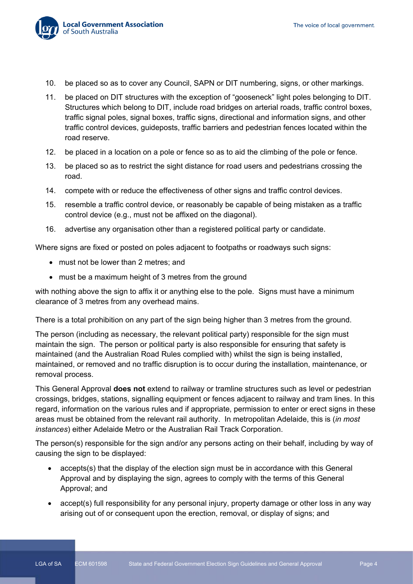

- 10. be placed so as to cover any Council, SAPN or DIT numbering, signs, or other markings.
- 11. be placed on DIT structures with the exception of "gooseneck" light poles belonging to DIT. Structures which belong to DIT, include road bridges on arterial roads, traffic control boxes, traffic signal poles, signal boxes, traffic signs, directional and information signs, and other traffic control devices, guideposts, traffic barriers and pedestrian fences located within the road reserve.
- 12. be placed in a location on a pole or fence so as to aid the climbing of the pole or fence.
- 13. be placed so as to restrict the sight distance for road users and pedestrians crossing the road.
- 14. compete with or reduce the effectiveness of other signs and traffic control devices.
- 15. resemble a traffic control device, or reasonably be capable of being mistaken as a traffic control device (e.g., must not be affixed on the diagonal).
- 16. advertise any organisation other than a registered political party or candidate.

Where signs are fixed or posted on poles adjacent to footpaths or roadways such signs:

- must not be lower than 2 metres; and
- must be a maximum height of 3 metres from the ground

with nothing above the sign to affix it or anything else to the pole. Signs must have a minimum clearance of 3 metres from any overhead mains.

There is a total prohibition on any part of the sign being higher than 3 metres from the ground.

The person (including as necessary, the relevant political party) responsible for the sign must maintain the sign. The person or political party is also responsible for ensuring that safety is maintained (and the Australian Road Rules complied with) whilst the sign is being installed, maintained, or removed and no traffic disruption is to occur during the installation, maintenance, or removal process.

This General Approval **does not** extend to railway or tramline structures such as level or pedestrian crossings, bridges, stations, signalling equipment or fences adjacent to railway and tram lines. In this regard, information on the various rules and if appropriate, permission to enter or erect signs in these areas must be obtained from the relevant rail authority. In metropolitan Adelaide, this is (*in most instances*) either Adelaide Metro or the Australian Rail Track Corporation.

The person(s) responsible for the sign and/or any persons acting on their behalf, including by way of causing the sign to be displayed:

- accepts(s) that the display of the election sign must be in accordance with this General Approval and by displaying the sign, agrees to comply with the terms of this General Approval; and
- accept(s) full responsibility for any personal injury, property damage or other loss in any way arising out of or consequent upon the erection, removal, or display of signs; and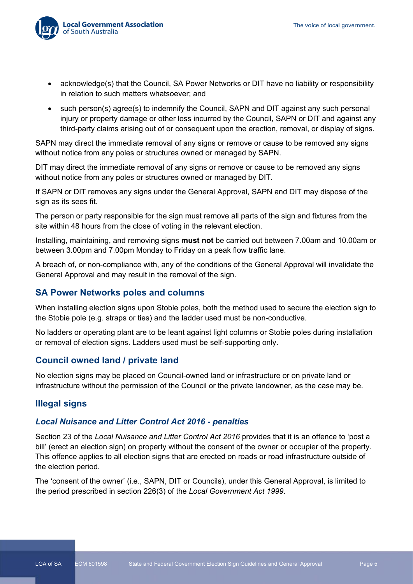

- acknowledge(s) that the Council, SA Power Networks or DIT have no liability or responsibility in relation to such matters whatsoever; and
- such person(s) agree(s) to indemnify the Council, SAPN and DIT against any such personal injury or property damage or other loss incurred by the Council, SAPN or DIT and against any third-party claims arising out of or consequent upon the erection, removal, or display of signs.

SAPN may direct the immediate removal of any signs or remove or cause to be removed any signs without notice from any poles or structures owned or managed by SAPN.

DIT may direct the immediate removal of any signs or remove or cause to be removed any signs without notice from any poles or structures owned or managed by DIT.

If SAPN or DIT removes any signs under the General Approval, SAPN and DIT may dispose of the sign as its sees fit.

The person or party responsible for the sign must remove all parts of the sign and fixtures from the site within 48 hours from the close of voting in the relevant election.

Installing, maintaining, and removing signs **must not** be carried out between 7.00am and 10.00am or between 3.00pm and 7.00pm Monday to Friday on a peak flow traffic lane.

A breach of, or non-compliance with, any of the conditions of the General Approval will invalidate the General Approval and may result in the removal of the sign.

#### **SA Power Networks poles and columns**

When installing election signs upon Stobie poles, both the method used to secure the election sign to the Stobie pole (e.g. straps or ties) and the ladder used must be non-conductive.

No ladders or operating plant are to be leant against light columns or Stobie poles during installation or removal of election signs. Ladders used must be self-supporting only.

#### **Council owned land / private land**

No election signs may be placed on Council-owned land or infrastructure or on private land or infrastructure without the permission of the Council or the private landowner, as the case may be.

### **Illegal signs**

#### *Local Nuisance and Litter Control Act 2016 - penalties*

Section 23 of the *Local Nuisance and Litter Control Act 2016* provides that it is an offence to 'post a bill' (erect an election sign) on property without the consent of the owner or occupier of the property. This offence applies to all election signs that are erected on roads or road infrastructure outside of the election period.

The 'consent of the owner' (i.e., SAPN, DIT or Councils), under this General Approval, is limited to the period prescribed in section 226(3) of the *Local Government Act 1999*.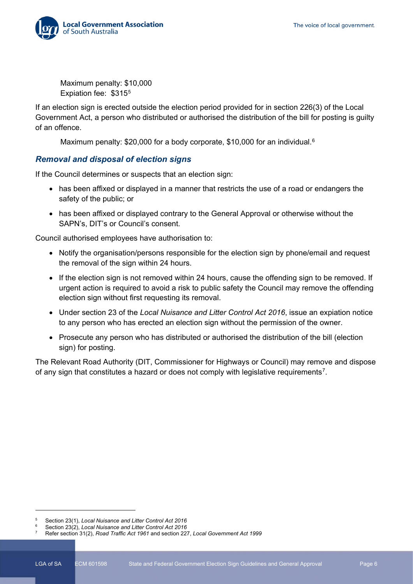

Maximum penalty: \$10,000 Expiation fee: \$315[5](#page-9-0)

If an election sign is erected outside the election period provided for in section 226(3) of the Local Government Act, a person who distributed or authorised the distribution of the bill for posting is guilty of an offence.

Maximum penalty: \$20,000 for a body corporate, \$10,000 for an individual.<sup>[6](#page-9-1)</sup>

#### *Removal and disposal of election signs*

If the Council determines or suspects that an election sign:

- has been affixed or displayed in a manner that restricts the use of a road or endangers the safety of the public; or
- has been affixed or displayed contrary to the General Approval or otherwise without the SAPN's, DIT's or Council's consent.

Council authorised employees have authorisation to:

- Notify the organisation/persons responsible for the election sign by phone/email and request the removal of the sign within 24 hours.
- If the election sign is not removed within 24 hours, cause the offending sign to be removed. If urgent action is required to avoid a risk to public safety the Council may remove the offending election sign without first requesting its removal.
- Under section 23 of the *Local Nuisance and Litter Control Act 2016*, issue an expiation notice to any person who has erected an election sign without the permission of the owner.
- Prosecute any person who has distributed or authorised the distribution of the bill (election sign) for posting.

The Relevant Road Authority (DIT, Commissioner for Highways or Council) may remove and dispose of any sign that constitutes a hazard or does not comply with legislative requirements<sup>7</sup>.

<span id="page-9-0"></span><sup>5</sup> Section 23(1), *Local Nuisance and Litter Control Act 2016*

<span id="page-9-2"></span><span id="page-9-1"></span><sup>6</sup> Section 23(2), *Local Nuisance and Litter Control Act 2016*

<sup>7</sup> Refer section 31(2), *Road Traffic Act 1961* and section 227, *Local Government Act 1999*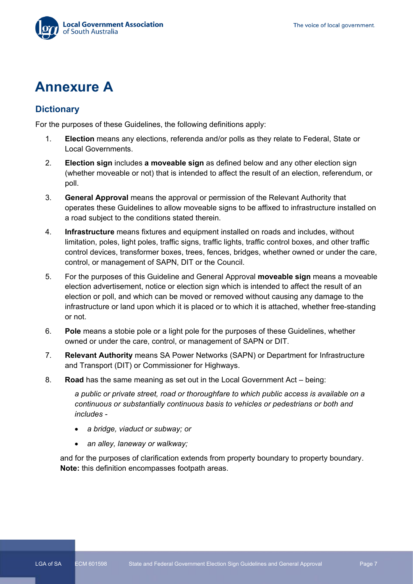

## **Annexure A**

## **Dictionary**

For the purposes of these Guidelines, the following definitions apply:

- 1. **Election** means any elections, referenda and/or polls as they relate to Federal, State or Local Governments.
- 2. **Election sign** includes **a moveable sign** as defined below and any other election sign (whether moveable or not) that is intended to affect the result of an election, referendum, or poll.
- 3. **General Approval** means the approval or permission of the Relevant Authority that operates these Guidelines to allow moveable signs to be affixed to infrastructure installed on a road subject to the conditions stated therein.
- 4. **Infrastructure** means fixtures and equipment installed on roads and includes, without limitation, poles, light poles, traffic signs, traffic lights, traffic control boxes, and other traffic control devices, transformer boxes, trees, fences, bridges, whether owned or under the care, control, or management of SAPN, DIT or the Council.
- 5. For the purposes of this Guideline and General Approval **moveable sign** means a moveable election advertisement, notice or election sign which is intended to affect the result of an election or poll, and which can be moved or removed without causing any damage to the infrastructure or land upon which it is placed or to which it is attached, whether free-standing or not.
- 6. **Pole** means a stobie pole or a light pole for the purposes of these Guidelines, whether owned or under the care, control, or management of SAPN or DIT.
- 7. **Relevant Authority** means SA Power Networks (SAPN) or Department for Infrastructure and Transport (DIT) or Commissioner for Highways.
- 8. **Road** has the same meaning as set out in the Local Government Act being:

*a public or private street, road or thoroughfare to which public access is available on a continuous or substantially continuous basis to vehicles or pedestrians or both and includes -*

- *a bridge, viaduct or subway; or*
- *an alley, laneway or walkway;*

and for the purposes of clarification extends from property boundary to property boundary. **Note:** this definition encompasses footpath areas.